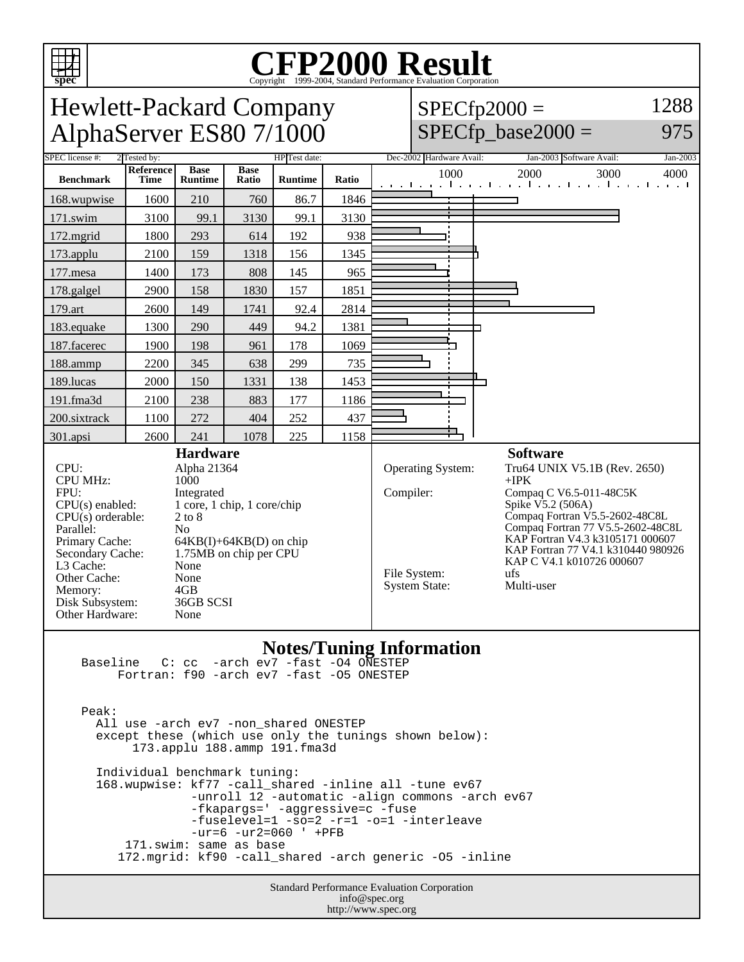

# Copyright ©1999-2004, Standard Performance Evaluation Corporation

Hewlett-Packard Company 1288  $SPECfp2000 =$ AlphaServer ES80 7/1000  $SPECfp\_base2000 =$ 975 2 Tested by: 2 Tested by: 2 HP Test date: Dec-2002 Hardware Avail: Jan-2003 Software Avail: Jan-2003 **Reference Base Base Runtime Ratio** 1000 2000 3000 4000 **Benchmark Time Runtime** 168.wupwise 1600 210 760 86.7 1846 171.swim | 3100 | 99.1 | 3130 | 99.1 | 3130 172.mgrid | 1800 | 293 | 614 | 192 | 938 173.applu | 2100 | 159 | 1318 | 156 | 1345 177.mesa | 1400 | 173 | 808 | 145 | 965 178.galgel | 2900 | 158 | 1830 | 157 | 1851 179.art 2600 149 1741 92.4 2814 183.equake 1300 290 449 94.2 1381 п 187.facerec | 1900 | 198 | 961 | 178 | 1069 188.ammp | 2200 | 345 | 638 | 299 | 735 189.lucas | 2000 | 150 | 1331 | 138 | 1453 191.fma3d 2100 238 883 177 1186 200.sixtrack 1100 272 404 252 437 301.apsi 2600 241 1078 225 1158 **Hardware Software** CPU: Alpha 21364<br>CPU MHz: 1000 Operating System: Tru64 UNIX V5.1B (Rev. 2650) CPU MHz: +IPK Compiler: Compaq C V6.5-011-48C5K FPU: Integrated Spike V5.2 (506A) CPU(s) enabled: 1 core, 1 chip, 1 core/chip Compaq Fortran V5.5-2602-48C8L  $CPU(s)$  orderable:  $2 to 8$ Compaq Fortran 77 V5.5-2602-48C8L Parallel: No<br>Primary Cache: 64F KAP Fortran V4.3 k3105171 000607  $64KB(I) + 64KB(D)$  on chip KAP Fortran 77 V4.1 k310440 980926 Secondary Cache: 1.75MB on chip per CPU KAP C V4.1 k010726 000607 L3 Cache: None<br>Other Cache: None File System: ufs Other Cache: None<br>
Memory: 4GB System State: Multi-user Memory: 4GB<br>Disk Subsystem: 36GB SCSI Disk Subsystem: Other Hardware: None

#### **Notes/Tuning Information**

 Baseline C: cc -arch ev7 -fast -O4 ONESTEP Fortran: f90 -arch ev7 -fast -O5 ONESTEP

 Peak: All use -arch ev7 -non\_shared ONESTEP except these (which use only the tunings shown below): 173.applu 188.ammp 191.fma3d Individual benchmark tuning: 168.wupwise: kf77 -call\_shared -inline all -tune ev67 -unroll 12 -automatic -align commons -arch ev67 -fkapargs=' -aggressive=c -fuse -fuselevel=1 -so=2 -r=1 -o=1 -interleave -ur=6 -ur2=060 ' +PFB 171.swim: same as base 172.mgrid: kf90 -call\_shared -arch generic -O5 -inline

> Standard Performance Evaluation Corporation info@spec.org http://www.spec.org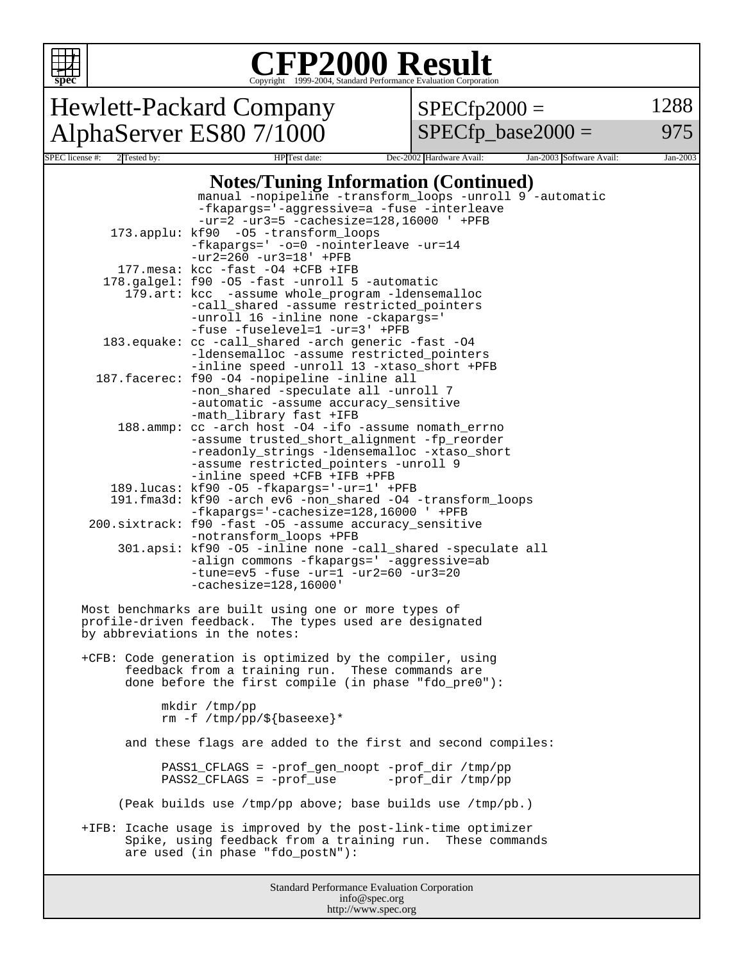

## Copyright ©1999-2004, Standard Performance Evaluation Corporation

Hewlett-Packard Company AlphaServer ES80 7/1000

 $SPECfp2000 =$ 

1288

 $SPECfp\_base2000 =$ 

975

| SPEC license #:<br>2 Tested by: | HP Test date:                                                                                            |                     | Dec-2002 Hardware Avail: | Jan-2003 Software Avail: | Jan-2003 |
|---------------------------------|----------------------------------------------------------------------------------------------------------|---------------------|--------------------------|--------------------------|----------|
|                                 | <b>Notes/Tuning Information (Continued)</b>                                                              |                     |                          |                          |          |
|                                 | manual -nopipeline -transform_loops -unroll 9 -automatic                                                 |                     |                          |                          |          |
|                                 | -fkapargs='-aggressive=a -fuse -interleave                                                               |                     |                          |                          |          |
|                                 | $-ur=2 -ur3=5 -cachesize=128,16000 ' + PFB$                                                              |                     |                          |                          |          |
|                                 | 173.applu: kf90 -05 -transform_loops                                                                     |                     |                          |                          |          |
|                                 | -fkapargs=' -o=0 -nointerleave -ur=14                                                                    |                     |                          |                          |          |
|                                 | $-ur2 = 260 -ur3 = 18' + PFB$                                                                            |                     |                          |                          |          |
|                                 | 177. mesa: kcc -fast -04 +CFB +IFB                                                                       |                     |                          |                          |          |
|                                 | 178. galgel: f90 -05 -fast -unroll 5 -automatic                                                          |                     |                          |                          |          |
|                                 | 179.art: kcc -assume whole_program -ldensemalloc<br>-call_shared -assume restricted_pointers             |                     |                          |                          |          |
|                                 | -unroll 16 -inline none -ckapargs='                                                                      |                     |                          |                          |          |
|                                 | -fuse -fuselevel=1 -ur=3' +PFB                                                                           |                     |                          |                          |          |
|                                 | 183. equake: cc -call_shared -arch generic -fast -04                                                     |                     |                          |                          |          |
|                                 | -ldensemalloc -assume restricted_pointers                                                                |                     |                          |                          |          |
|                                 | -inline speed -unroll 13 -xtaso_short +PFB                                                               |                     |                          |                          |          |
|                                 | 187. facerec: f90 -04 -nopipeline -inline all                                                            |                     |                          |                          |          |
|                                 | -non_shared -speculate all -unroll 7<br>-automatic -assume accuracy_sensitive                            |                     |                          |                          |          |
|                                 | -math_library fast +IFB                                                                                  |                     |                          |                          |          |
|                                 | 188.ammp: cc -arch host -04 -ifo -assume nomath errno                                                    |                     |                          |                          |          |
|                                 | -assume trusted_short_alignment -fp_reorder                                                              |                     |                          |                          |          |
|                                 | -readonly_strings -ldensemalloc -xtaso_short                                                             |                     |                          |                          |          |
|                                 | -assume restricted_pointers -unroll 9                                                                    |                     |                          |                          |          |
|                                 | -inline speed +CFB +IFB +PFB<br>189.lucas: kf90 -05 -fkapargs='-ur=1' +PFB                               |                     |                          |                          |          |
|                                 | 191.fma3d: kf90 -arch ev6 -non_shared -04 -transform_loops                                               |                     |                          |                          |          |
|                                 | -fkapargs='-cachesize=128,16000 ' +PFB                                                                   |                     |                          |                          |          |
|                                 | 200.sixtrack: f90 -fast -05 -assume accuracy_sensitive                                                   |                     |                          |                          |          |
|                                 | -notransform_loops +PFB                                                                                  |                     |                          |                          |          |
|                                 | 301.apsi: kf90 -05 -inline none -call_shared -speculate all                                              |                     |                          |                          |          |
|                                 | -align commons -fkapargs=' -aggressive=ab                                                                |                     |                          |                          |          |
|                                 | $-tune=ev5 - fuse -ur=1 -ur2=60 -ur3=20$<br>$-cachesize=128,16000'$                                      |                     |                          |                          |          |
|                                 |                                                                                                          |                     |                          |                          |          |
|                                 | Most benchmarks are built using one or more types of                                                     |                     |                          |                          |          |
|                                 | profile-driven feedback. The types used are designated                                                   |                     |                          |                          |          |
|                                 | by abbreviations in the notes:                                                                           |                     |                          |                          |          |
|                                 |                                                                                                          |                     |                          |                          |          |
|                                 | +CFB: Code generation is optimized by the compiler, using                                                |                     |                          |                          |          |
|                                 | feedback from a training run. These commands are<br>done before the first compile (in phase "fdo_pre0"): |                     |                          |                          |          |
|                                 |                                                                                                          |                     |                          |                          |          |
|                                 | mkdir /tmp/pp                                                                                            |                     |                          |                          |          |
|                                 | rm -f /tmp/pp/\${baseexe}*                                                                               |                     |                          |                          |          |
|                                 |                                                                                                          |                     |                          |                          |          |
|                                 | and these flags are added to the first and second compiles:                                              |                     |                          |                          |          |
|                                 |                                                                                                          |                     |                          |                          |          |
|                                 | PASS1_CFLAGS = -prof_gen_noopt -prof_dir /tmp/pp<br>PASS2_CFLAGS = -prof_use                             |                     | -prof_dir /tmp/pp        |                          |          |
|                                 |                                                                                                          |                     |                          |                          |          |
|                                 | (Peak builds use /tmp/pp above; base builds use /tmp/pb.)                                                |                     |                          |                          |          |
|                                 |                                                                                                          |                     |                          |                          |          |
|                                 | +IFB: Icache usage is improved by the post-link-time optimizer                                           |                     |                          |                          |          |
|                                 | Spike, using feedback from a training run. These commands                                                |                     |                          |                          |          |
|                                 | are used (in phase "fdo_postN"):                                                                         |                     |                          |                          |          |
|                                 |                                                                                                          |                     |                          |                          |          |
|                                 | Standard Performance Evaluation Corporation                                                              |                     |                          |                          |          |
|                                 |                                                                                                          | info@spec.org       |                          |                          |          |
|                                 |                                                                                                          | http://www.spec.org |                          |                          |          |